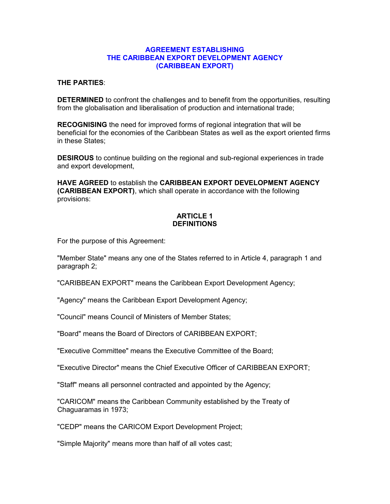#### AGREEMENT ESTABLISHING THE CARIBBEAN EXPORT DEVELOPMENT AGENCY (CARIBBEAN EXPORT)

#### THE PARTIES:

DETERMINED to confront the challenges and to benefit from the opportunities, resulting from the globalisation and liberalisation of production and international trade;

RECOGNISING the need for improved forms of regional integration that will be beneficial for the economies of the Caribbean States as well as the export oriented firms in these States;

DESIROUS to continue building on the regional and sub-regional experiences in trade and export development,

HAVE AGREED to establish the CARIBBEAN EXPORT DEVELOPMENT AGENCY (CARIBBEAN EXPORT), which shall operate in accordance with the following provisions:

## ARTICLE 1 **DEFINITIONS**

For the purpose of this Agreement:

"Member State" means any one of the States referred to in Article 4, paragraph 1 and paragraph 2;

"CARIBBEAN EXPORT" means the Caribbean Export Development Agency;

"Agency" means the Caribbean Export Development Agency;

"Council" means Council of Ministers of Member States;

"Board" means the Board of Directors of CARIBBEAN EXPORT;

"Executive Committee" means the Executive Committee of the Board;

"Executive Director" means the Chief Executive Officer of CARIBBEAN EXPORT;

"Staff" means all personnel contracted and appointed by the Agency;

"CARICOM" means the Caribbean Community established by the Treaty of Chaguaramas in 1973;

"CEDP" means the CARICOM Export Development Project;

"Simple Majority" means more than half of all votes cast;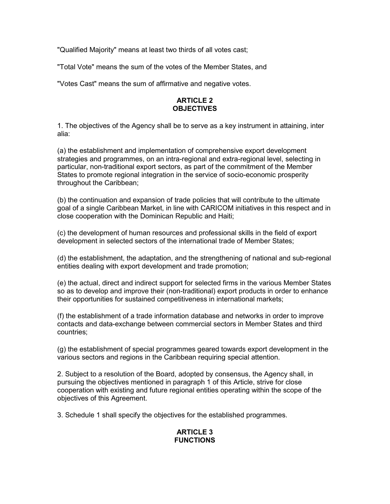"Qualified Majority" means at least two thirds of all votes cast;

"Total Vote" means the sum of the votes of the Member States, and

"Votes Cast" means the sum of affirmative and negative votes.

### ARTICLE 2 **OBJECTIVES**

1. The objectives of the Agency shall be to serve as a key instrument in attaining, inter alia:

(a) the establishment and implementation of comprehensive export development strategies and programmes, on an intra-regional and extra-regional level, selecting in particular, non-traditional export sectors, as part of the commitment of the Member States to promote regional integration in the service of socio-economic prosperity throughout the Caribbean;

(b) the continuation and expansion of trade policies that will contribute to the ultimate goal of a single Caribbean Market, in line with CARICOM initiatives in this respect and in close cooperation with the Dominican Republic and Haiti;

(c) the development of human resources and professional skills in the field of export development in selected sectors of the international trade of Member States;

(d) the establishment, the adaptation, and the strengthening of national and sub-regional entities dealing with export development and trade promotion;

(e) the actual, direct and indirect support for selected firms in the various Member States so as to develop and improve their (non-traditional) export products in order to enhance their opportunities for sustained competitiveness in international markets;

(f) the establishment of a trade information database and networks in order to improve contacts and data-exchange between commercial sectors in Member States and third countries;

(g) the establishment of special programmes geared towards export development in the various sectors and regions in the Caribbean requiring special attention.

2. Subject to a resolution of the Board, adopted by consensus, the Agency shall, in pursuing the objectives mentioned in paragraph 1 of this Article, strive for close cooperation with existing and future regional entities operating within the scope of the objectives of this Agreement.

3. Schedule 1 shall specify the objectives for the established programmes.

### ARTICLE 3 FUNCTIONS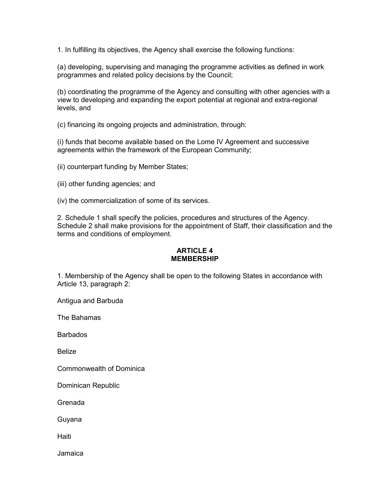1. In fulfilling its objectives, the Agency shall exercise the following functions:

(a) developing, supervising and managing the programme activities as defined in work programmes and related policy decisions by the Council;

(b) coordinating the programme of the Agency and consulting with other agencies with a view to developing and expanding the export potential at regional and extra-regional levels, and

(c) financing its ongoing projects and administration, through:

(i) funds that become available based on the Lome IV Agreement and successive agreements within the framework of the European Community;

(ii) counterpart funding by Member States;

(iii) other funding agencies; and

(iv) the commercialization of some of its services.

2. Schedule 1 shall specify the policies, procedures and structures of the Agency. Schedule 2 shall make provisions for the appointment of Staff, their classification and the terms and conditions of employment.

### ARTICLE 4 MEMBERSHIP

1. Membership of the Agency shall be open to the following States in accordance with Article 13, paragraph 2:

Antigua and Barbuda

The Bahamas

Barbados

Belize

Commonwealth of Dominica

Dominican Republic

Grenada

Guyana

Haiti

Jamaica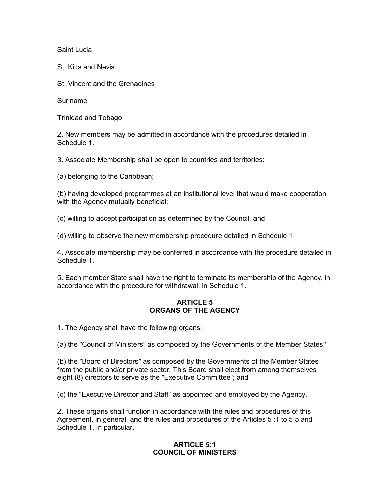Saint Lucia

St. Kitts and Nevis

St. Vincent and the Grenadines

Suriname

Trinidad and Tobago

2. New members may be admitted in accordance with the procedures detailed in Schedule 1.

3. Associate Membership shall be open to countries and territories:

(a) belonging to the Caribbean;

(b) having developed programmes at an institutional level that would make cooperation with the Agency mutually beneficial;

(c) willing to accept participation as determined by the Council, and

(d) willing to observe the new membership procedure detailed in Schedule 1.

4. Associate membership may be conferred in accordance with the procedure detailed in Schedule 1.

5. Each member State shall have the right to terminate its membership of the Agency, in accordance with the procedure for withdrawal, in Schedule 1.

## ARTICLE 5 ORGANS OF THE AGENCY

1. The Agency shall have the following organs:

(a) the "Council of Ministers" as composed by the Governments of the Member States;'

(b) the "Board of Directors" as composed by the Governments of the Member States from the public and/or private sector. This Board shall elect from among themselves eight (8) directors to serve as the "Executive Committee"; and

(c) the "Executive Director and Staff" as appointed and employed by the Agency.

2. These organs shall function in accordance with the rules and procedures of this Agreement, in general, and the rules and procedures of the Articles 5 :1 to 5:5 and Schedule 1, in particular.

### ARTICLE 5:1 COUNCIL OF MINISTERS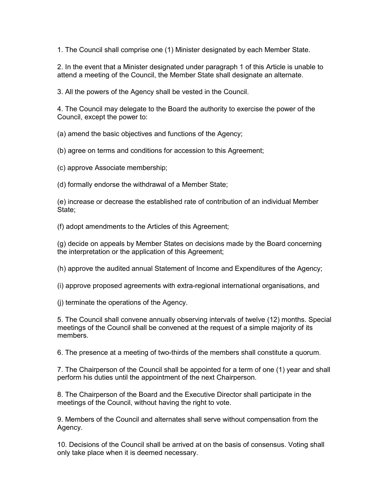1. The Council shall comprise one (1) Minister designated by each Member State.

2. In the event that a Minister designated under paragraph 1 of this Article is unable to attend a meeting of the Council, the Member State shall designate an alternate.

3. All the powers of the Agency shall be vested in the Council.

4. The Council may delegate to the Board the authority to exercise the power of the Council, except the power to:

(a) amend the basic objectives and functions of the Agency;

(b) agree on terms and conditions for accession to this Agreement;

(c) approve Associate membership;

(d) formally endorse the withdrawal of a Member State;

(e) increase or decrease the established rate of contribution of an individual Member State:

(f) adopt amendments to the Articles of this Agreement;

(g) decide on appeals by Member States on decisions made by the Board concerning the interpretation or the application of this Agreement;

(h) approve the audited annual Statement of Income and Expenditures of the Agency;

(i) approve proposed agreements with extra-regional international organisations, and

(j) terminate the operations of the Agency.

5. The Council shall convene annually observing intervals of twelve (12) months. Special meetings of the Council shall be convened at the request of a simple majority of its members.

6. The presence at a meeting of two-thirds of the members shall constitute a quorum.

7. The Chairperson of the Council shall be appointed for a term of one (1) year and shall perform his duties until the appointment of the next Chairperson.

8. The Chairperson of the Board and the Executive Director shall participate in the meetings of the Council, without having the right to vote.

9. Members of the Council and alternates shall serve without compensation from the Agency.

10. Decisions of the Council shall be arrived at on the basis of consensus. Voting shall only take place when it is deemed necessary.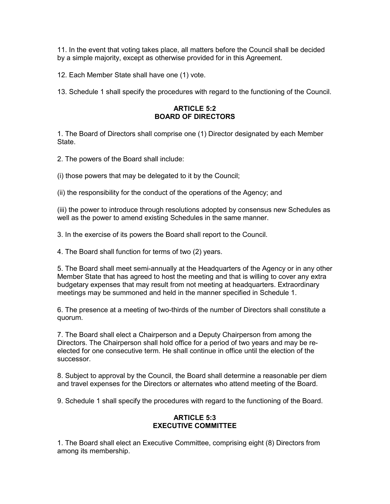11. In the event that voting takes place, all matters before the Council shall be decided by a simple majority, except as otherwise provided for in this Agreement.

12. Each Member State shall have one (1) vote.

13. Schedule 1 shall specify the procedures with regard to the functioning of the Council.

### ARTICLE 5:2 BOARD OF DIRECTORS

1. The Board of Directors shall comprise one (1) Director designated by each Member **State** 

2. The powers of the Board shall include:

(i) those powers that may be delegated to it by the Council;

(ii) the responsibility for the conduct of the operations of the Agency; and

(iii) the power to introduce through resolutions adopted by consensus new Schedules as well as the power to amend existing Schedules in the same manner.

3. In the exercise of its powers the Board shall report to the Council.

4. The Board shall function for terms of two (2) years.

5. The Board shall meet semi-annually at the Headquarters of the Agency or in any other Member State that has agreed to host the meeting and that is willing to cover any extra budgetary expenses that may result from not meeting at headquarters. Extraordinary meetings may be summoned and held in the manner specified in Schedule 1.

6. The presence at a meeting of two-thirds of the number of Directors shall constitute a quorum.

7. The Board shall elect a Chairperson and a Deputy Chairperson from among the Directors. The Chairperson shall hold office for a period of two years and may be reelected for one consecutive term. He shall continue in office until the election of the successor.

8. Subject to approval by the Council, the Board shall determine a reasonable per diem and travel expenses for the Directors or alternates who attend meeting of the Board.

9. Schedule 1 shall specify the procedures with regard to the functioning of the Board.

### ARTICLE 5:3 EXECUTIVE COMMITTEE

1. The Board shall elect an Executive Committee, comprising eight (8) Directors from among its membership.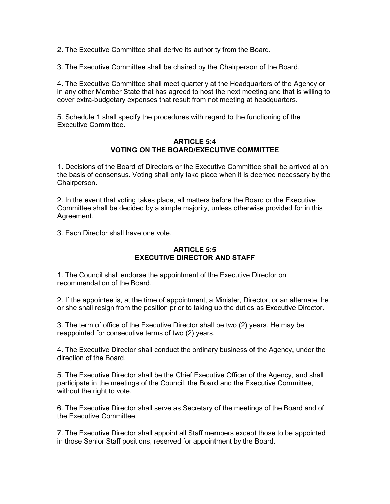2. The Executive Committee shall derive its authority from the Board.

3. The Executive Committee shall be chaired by the Chairperson of the Board.

4. The Executive Committee shall meet quarterly at the Headquarters of the Agency or in any other Member State that has agreed to host the next meeting and that is willing to cover extra-budgetary expenses that result from not meeting at headquarters.

5. Schedule 1 shall specify the procedures with regard to the functioning of the Executive Committee.

#### ARTICLE  $5:4$ VOTING ON THE BOARD/EXECUTIVE COMMITTEE

1. Decisions of the Board of Directors or the Executive Committee shall be arrived at on the basis of consensus. Voting shall only take place when it is deemed necessary by the Chairperson.

2. In the event that voting takes place, all matters before the Board or the Executive Committee shall be decided by a simple majority, unless otherwise provided for in this Agreement.

3. Each Director shall have one vote.

### ARTICLE 5:5 EXECUTIVE DIRECTOR AND STAFF

1. The Council shall endorse the appointment of the Executive Director on recommendation of the Board.

2. If the appointee is, at the time of appointment, a Minister, Director, or an alternate, he or she shall resign from the position prior to taking up the duties as Executive Director.

3. The term of office of the Executive Director shall be two (2) years. He may be reappointed for consecutive terms of two (2) years.

4. The Executive Director shall conduct the ordinary business of the Agency, under the direction of the Board.

5. The Executive Director shall be the Chief Executive Officer of the Agency, and shall participate in the meetings of the Council, the Board and the Executive Committee, without the right to vote.

6. The Executive Director shall serve as Secretary of the meetings of the Board and of the Executive Committee.

7. The Executive Director shall appoint all Staff members except those to be appointed in those Senior Staff positions, reserved for appointment by the Board.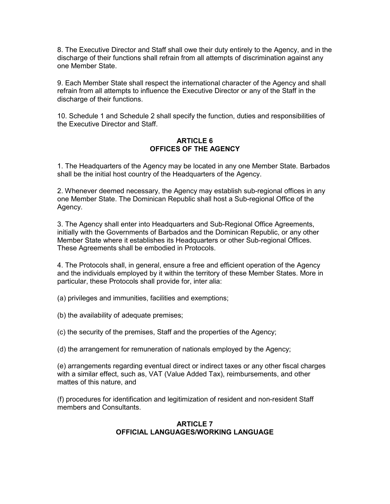8. The Executive Director and Staff shall owe their duty entirely to the Agency, and in the discharge of their functions shall refrain from all attempts of discrimination against any one Member State.

9. Each Member State shall respect the international character of the Agency and shall refrain from all attempts to influence the Executive Director or any of the Staff in the discharge of their functions.

10. Schedule 1 and Schedule 2 shall specify the function, duties and responsibilities of the Executive Director and Staff.

## ARTICLE 6 OFFICES OF THE AGENCY

1. The Headquarters of the Agency may be located in any one Member State. Barbados shall be the initial host country of the Headquarters of the Agency.

2. Whenever deemed necessary, the Agency may establish sub-regional offices in any one Member State. The Dominican Republic shall host a Sub-regional Office of the Agency.

3. The Agency shall enter into Headquarters and Sub-Regional Office Agreements, initially with the Governments of Barbados and the Dominican Republic, or any other Member State where it establishes its Headquarters or other Sub-regional Offices. These Agreements shall be embodied in Protocols.

4. The Protocols shall, in general, ensure a free and efficient operation of the Agency and the individuals employed by it within the territory of these Member States. More in particular, these Protocols shall provide for, inter alia:

(a) privileges and immunities, facilities and exemptions;

(b) the availability of adequate premises;

(c) the security of the premises, Staff and the properties of the Agency;

(d) the arrangement for remuneration of nationals employed by the Agency;

(e) arrangements regarding eventual direct or indirect taxes or any other fiscal charges with a similar effect, such as, VAT (Value Added Tax), reimbursements, and other mattes of this nature, and

(f) procedures for identification and legitimization of resident and non-resident Staff members and Consultants.

### ARTICLE 7 OFFICIAL LANGUAGES/WORKING LANGUAGE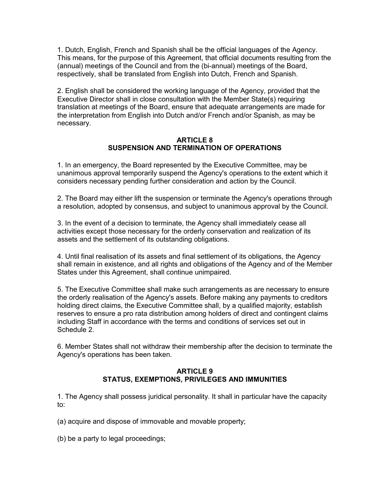1. Dutch, English, French and Spanish shall be the official languages of the Agency. This means, for the purpose of this Agreement, that official documents resulting from the (annual) meetings of the Council and from the (bi-annual) meetings of the Board, respectively, shall be translated from English into Dutch, French and Spanish.

2. English shall be considered the working language of the Agency, provided that the Executive Director shall in close consultation with the Member State(s) requiring translation at meetings of the Board, ensure that adequate arrangements are made for the interpretation from English into Dutch and/or French and/or Spanish, as may be necessary.

#### ARTICLE 8 SUSPENSION AND TERMINATION OF OPERATIONS

1. In an emergency, the Board represented by the Executive Committee, may be unanimous approval temporarily suspend the Agency's operations to the extent which it considers necessary pending further consideration and action by the Council.

2. The Board may either lift the suspension or terminate the Agency's operations through a resolution, adopted by consensus, and subject to unanimous approval by the Council.

3. In the event of a decision to terminate, the Agency shall immediately cease all activities except those necessary for the orderly conservation and realization of its assets and the settlement of its outstanding obligations.

4. Until final realisation of its assets and final settlement of its obligations, the Agency shall remain in existence, and all rights and obligations of the Agency and of the Member States under this Agreement, shall continue unimpaired.

5. The Executive Committee shall make such arrangements as are necessary to ensure the orderly realisation of the Agency's assets. Before making any payments to creditors holding direct claims, the Executive Committee shall, by a qualified majority, establish reserves to ensure a pro rata distribution among holders of direct and contingent claims including Staff in accordance with the terms and conditions of services set out in Schedule 2.

6. Member States shall not withdraw their membership after the decision to terminate the Agency's operations has been taken.

#### ARTICLE 9 STATUS, EXEMPTIONS, PRIVILEGES AND IMMUNITIES

1. The Agency shall possess juridical personality. It shall in particular have the capacity to:

(a) acquire and dispose of immovable and movable property;

(b) be a party to legal proceedings;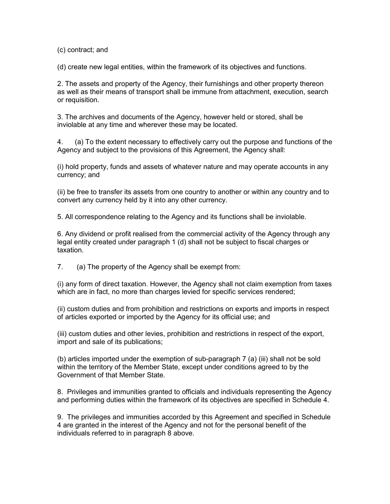(c) contract; and

(d) create new legal entities, within the framework of its objectives and functions.

2. The assets and property of the Agency, their furnishings and other property thereon as well as their means of transport shall be immune from attachment, execution, search or requisition.

3. The archives and documents of the Agency, however held or stored, shall be inviolable at any time and wherever these may be located.

4. (a) To the extent necessary to effectively carry out the purpose and functions of the Agency and subject to the provisions of this Agreement, the Agency shall:

(i) hold property, funds and assets of whatever nature and may operate accounts in any currency; and

(ii) be free to transfer its assets from one country to another or within any country and to convert any currency held by it into any other currency.

5. All correspondence relating to the Agency and its functions shall be inviolable.

6. Any dividend or profit realised from the commercial activity of the Agency through any legal entity created under paragraph 1 (d) shall not be subject to fiscal charges or taxation.

7. (a) The property of the Agency shall be exempt from:

(i) any form of direct taxation. However, the Agency shall not claim exemption from taxes which are in fact, no more than charges levied for specific services rendered;

(ii) custom duties and from prohibition and restrictions on exports and imports in respect of articles exported or imported by the Agency for its official use; and

(iii) custom duties and other levies, prohibition and restrictions in respect of the export, import and sale of its publications;

(b) articles imported under the exemption of sub-paragraph 7 (a) (iii) shall not be sold within the territory of the Member State, except under conditions agreed to by the Government of that Member State.

8. Privileges and immunities granted to officials and individuals representing the Agency and performing duties within the framework of its objectives are specified in Schedule 4.

9. The privileges and immunities accorded by this Agreement and specified in Schedule 4 are granted in the interest of the Agency and not for the personal benefit of the individuals referred to in paragraph 8 above.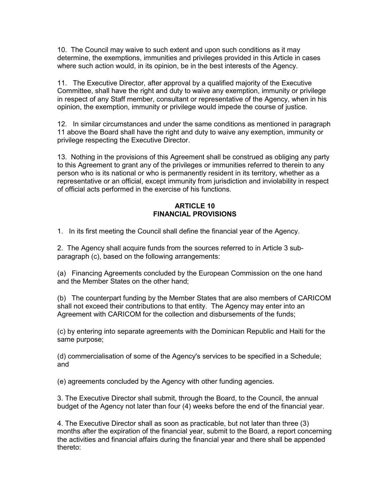10. The Council may waive to such extent and upon such conditions as it may determine, the exemptions, immunities and privileges provided in this Article in cases where such action would, in its opinion, be in the best interests of the Agency.

11. The Executive Director, after approval by a qualified majority of the Executive Committee, shall have the right and duty to waive any exemption, immunity or privilege in respect of any Staff member, consultant or representative of the Agency, when in his opinion, the exemption, immunity or privilege would impede the course of justice.

12. In similar circumstances and under the same conditions as mentioned in paragraph 11 above the Board shall have the right and duty to waive any exemption, immunity or privilege respecting the Executive Director.

13. Nothing in the provisions of this Agreement shall be construed as obliging any party to this Agreement to grant any of the privileges or immunities referred to therein to any person who is its national or who is permanently resident in its territory, whether as a representative or an official, except immunity from jurisdiction and inviolability in respect of official acts performed in the exercise of his functions.

## ARTICLE 10 FINANCIAL PROVISIONS

1. In its first meeting the Council shall define the financial year of the Agency.

2. The Agency shall acquire funds from the sources referred to in Article 3 subparagraph (c), based on the following arrangements:

(a) Financing Agreements concluded by the European Commission on the one hand and the Member States on the other hand;

(b) The counterpart funding by the Member States that are also members of CARICOM shall not exceed their contributions to that entity. The Agency may enter into an Agreement with CARICOM for the collection and disbursements of the funds;

(c) by entering into separate agreements with the Dominican Republic and Haiti for the same purpose;

(d) commercialisation of some of the Agency's services to be specified in a Schedule; and

(e) agreements concluded by the Agency with other funding agencies.

3. The Executive Director shall submit, through the Board, to the Council, the annual budget of the Agency not later than four (4) weeks before the end of the financial year.

4. The Executive Director shall as soon as practicable, but not later than three (3) months after the expiration of the financial year, submit to the Board, a report concerning the activities and financial affairs during the financial year and there shall be appended thereto: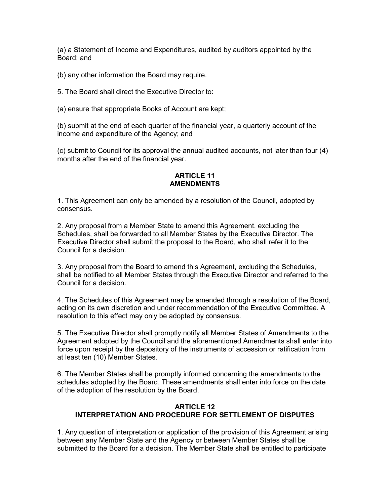(a) a Statement of Income and Expenditures, audited by auditors appointed by the Board; and

(b) any other information the Board may require.

5. The Board shall direct the Executive Director to:

(a) ensure that appropriate Books of Account are kept;

(b) submit at the end of each quarter of the financial year, a quarterly account of the income and expenditure of the Agency; and

(c) submit to Council for its approval the annual audited accounts, not later than four (4) months after the end of the financial year.

## ARTICLE 11 **AMENDMENTS**

1. This Agreement can only be amended by a resolution of the Council, adopted by consensus.

2. Any proposal from a Member State to amend this Agreement, excluding the Schedules, shall be forwarded to all Member States by the Executive Director. The Executive Director shall submit the proposal to the Board, who shall refer it to the Council for a decision.

3. Any proposal from the Board to amend this Agreement, excluding the Schedules, shall be notified to all Member States through the Executive Director and referred to the Council for a decision.

4. The Schedules of this Agreement may be amended through a resolution of the Board, acting on its own discretion and under recommendation of the Executive Committee. A resolution to this effect may only be adopted by consensus.

5. The Executive Director shall promptly notify all Member States of Amendments to the Agreement adopted by the Council and the aforementioned Amendments shall enter into force upon receipt by the depository of the instruments of accession or ratification from at least ten (10) Member States.

6. The Member States shall be promptly informed concerning the amendments to the schedules adopted by the Board. These amendments shall enter into force on the date of the adoption of the resolution by the Board.

## ARTICLE 12 INTERPRETATION AND PROCEDURE FOR SETTLEMENT OF DISPUTES

1. Any question of interpretation or application of the provision of this Agreement arising between any Member State and the Agency or between Member States shall be submitted to the Board for a decision. The Member State shall be entitled to participate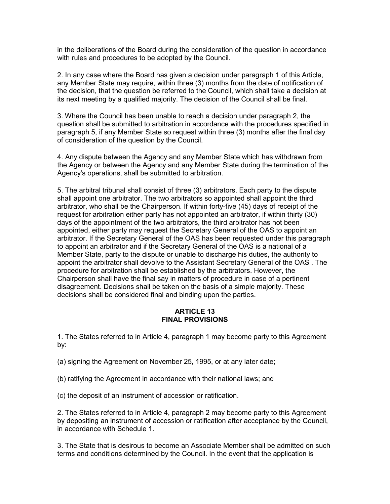in the deliberations of the Board during the consideration of the question in accordance with rules and procedures to be adopted by the Council.

2. In any case where the Board has given a decision under paragraph 1 of this Article, any Member State may require, within three (3) months from the date of notification of the decision, that the question be referred to the Council, which shall take a decision at its next meeting by a qualified majority. The decision of the Council shall be final.

3. Where the Council has been unable to reach a decision under paragraph 2, the question shall be submitted to arbitration in accordance with the procedures specified in paragraph 5, if any Member State so request within three (3) months after the final day of consideration of the question by the Council.

4. Any dispute between the Agency and any Member State which has withdrawn from the Agency or between the Agency and any Member State during the termination of the Agency's operations, shall be submitted to arbitration.

5. The arbitral tribunal shall consist of three (3) arbitrators. Each party to the dispute shall appoint one arbitrator. The two arbitrators so appointed shall appoint the third arbitrator, who shall be the Chairperson. If within forty-five (45) days of receipt of the request for arbitration either party has not appointed an arbitrator, if within thirty (30) days of the appointment of the two arbitrators, the third arbitrator has not been appointed, either party may request the Secretary General of the OAS to appoint an arbitrator. If the Secretary General of the OAS has been requested under this paragraph to appoint an arbitrator and if the Secretary General of the OAS is a national of a Member State, party to the dispute or unable to discharge his duties, the authority to appoint the arbitrator shall devolve to the Assistant Secretary General of the OAS . The procedure for arbitration shall be established by the arbitrators. However, the Chairperson shall have the final say in matters of procedure in case of a pertinent disagreement. Decisions shall be taken on the basis of a simple majority. These decisions shall be considered final and binding upon the parties.

### ARTICLE 13 FINAL PROVISIONS

1. The States referred to in Article 4, paragraph 1 may become party to this Agreement by:

- (a) signing the Agreement on November 25, 1995, or at any later date;
- (b) ratifying the Agreement in accordance with their national laws; and
- (c) the deposit of an instrument of accession or ratification.

2. The States referred to in Article 4, paragraph 2 may become party to this Agreement by depositing an instrument of accession or ratification after acceptance by the Council, in accordance with Schedule 1.

3. The State that is desirous to become an Associate Member shall be admitted on such terms and conditions determined by the Council. In the event that the application is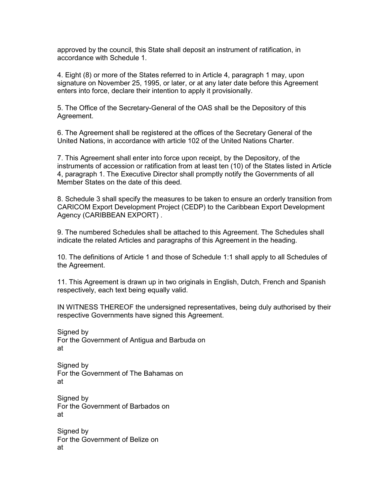approved by the council, this State shall deposit an instrument of ratification, in accordance with Schedule 1.

4. Eight (8) or more of the States referred to in Article 4, paragraph 1 may, upon signature on November 25, 1995, or later, or at any later date before this Agreement enters into force, declare their intention to apply it provisionally.

5. The Office of the Secretary-General of the OAS shall be the Depository of this Agreement.

6. The Agreement shall be registered at the offices of the Secretary General of the United Nations, in accordance with article 102 of the United Nations Charter.

7. This Agreement shall enter into force upon receipt, by the Depository, of the instruments of accession or ratification from at least ten (10) of the States listed in Article 4, paragraph 1. The Executive Director shall promptly notify the Governments of all Member States on the date of this deed.

8. Schedule 3 shall specify the measures to be taken to ensure an orderly transition from CARICOM Export Development Project (CEDP) to the Caribbean Export Development Agency (CARIBBEAN EXPORT) .

9. The numbered Schedules shall be attached to this Agreement. The Schedules shall indicate the related Articles and paragraphs of this Agreement in the heading.

10. The definitions of Article 1 and those of Schedule 1:1 shall apply to all Schedules of the Agreement.

11. This Agreement is drawn up in two originals in English, Dutch, French and Spanish respectively, each text being equally valid.

IN WITNESS THEREOF the undersigned representatives, being duly authorised by their respective Governments have signed this Agreement.

Signed by For the Government of Antigua and Barbuda on at

Signed by For the Government of The Bahamas on at

Signed by For the Government of Barbados on at

Signed by For the Government of Belize on at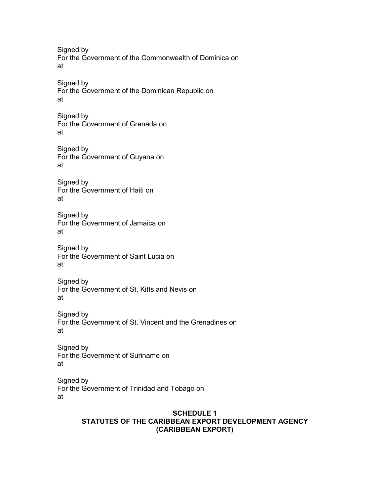Signed by For the Government of the Commonwealth of Dominica on at Signed by For the Government of the Dominican Republic on at Signed by For the Government of Grenada on at Signed by For the Government of Guyana on at Signed by For the Government of Haiti on at Signed by

For the Government of Jamaica on at

Signed by For the Government of Saint Lucia on at

Signed by For the Government of St. Kitts and Nevis on at

Signed by For the Government of St. Vincent and the Grenadines on at

Signed by For the Government of Suriname on at

Signed by For the Government of Trinidad and Tobago on at

### SCHEDULE 1 STATUTES OF THE CARIBBEAN EXPORT DEVELOPMENT AGENCY (CARIBBEAN EXPORT)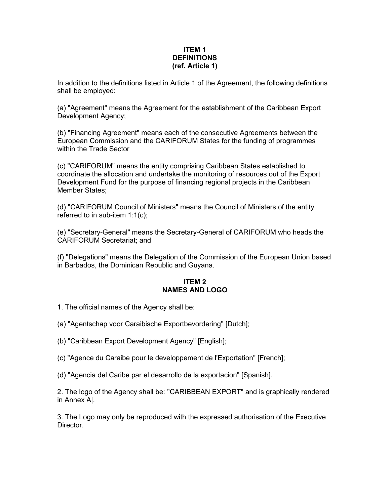### ITEM 1 **DEFINITIONS** (ref. Article 1)

In addition to the definitions listed in Article 1 of the Agreement, the following definitions shall be employed:

(a) "Agreement" means the Agreement for the establishment of the Caribbean Export Development Agency;

(b) "Financing Agreement" means each of the consecutive Agreements between the European Commission and the CARIFORUM States for the funding of programmes within the Trade Sector

(c) "CARIFORUM" means the entity comprising Caribbean States established to coordinate the allocation and undertake the monitoring of resources out of the Export Development Fund for the purpose of financing regional projects in the Caribbean Member States;

(d) "CARIFORUM Council of Ministers" means the Council of Ministers of the entity referred to in sub-item 1:1(c);

(e) "Secretary-General" means the Secretary-General of CARIFORUM who heads the CARIFORUM Secretariat; and

(f) "Delegations" means the Delegation of the Commission of the European Union based in Barbados, the Dominican Republic and Guyana.

### ITEM 2 NAMES AND LOGO

- 1. The official names of the Agency shall be:
- (a) "Agentschap voor Caraibische Exportbevordering" [Dutch];
- (b) "Caribbean Export Development Agency" [English];
- (c) "Agence du Caraibe pour le developpement de l'Exportation" [French];
- (d) "Agencia del Caribe par el desarrollo de la exportacion" [Spanish].

2. The logo of the Agency shall be: "CARIBBEAN EXPORT" and is graphically rendered in Annex A|.

3. The Logo may only be reproduced with the expressed authorisation of the Executive Director.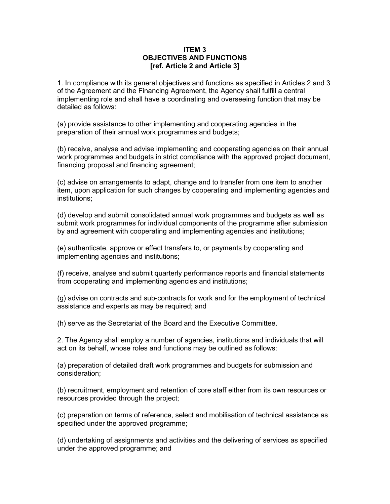#### ITEM 3 OBJECTIVES AND FUNCTIONS [ref. Article 2 and Article 3]

1. In compliance with its general objectives and functions as specified in Articles 2 and 3 of the Agreement and the Financing Agreement, the Agency shall fulfill a central implementing role and shall have a coordinating and overseeing function that may be detailed as follows:

(a) provide assistance to other implementing and cooperating agencies in the preparation of their annual work programmes and budgets;

(b) receive, analyse and advise implementing and cooperating agencies on their annual work programmes and budgets in strict compliance with the approved project document, financing proposal and financing agreement;

(c) advise on arrangements to adapt, change and to transfer from one item to another item, upon application for such changes by cooperating and implementing agencies and institutions;

(d) develop and submit consolidated annual work programmes and budgets as well as submit work programmes for individual components of the programme after submission by and agreement with cooperating and implementing agencies and institutions;

(e) authenticate, approve or effect transfers to, or payments by cooperating and implementing agencies and institutions;

(f) receive, analyse and submit quarterly performance reports and financial statements from cooperating and implementing agencies and institutions;

(g) advise on contracts and sub-contracts for work and for the employment of technical assistance and experts as may be required; and

(h) serve as the Secretariat of the Board and the Executive Committee.

2. The Agency shall employ a number of agencies, institutions and individuals that will act on its behalf, whose roles and functions may be outlined as follows:

(a) preparation of detailed draft work programmes and budgets for submission and consideration;

(b) recruitment, employment and retention of core staff either from its own resources or resources provided through the project;

(c) preparation on terms of reference, select and mobilisation of technical assistance as specified under the approved programme;

(d) undertaking of assignments and activities and the delivering of services as specified under the approved programme; and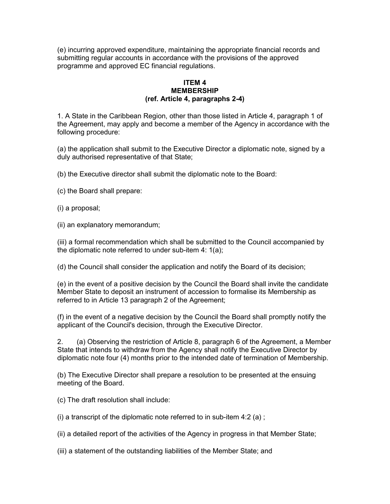(e) incurring approved expenditure, maintaining the appropriate financial records and submitting regular accounts in accordance with the provisions of the approved programme and approved EC financial regulations.

#### ITEM 4 MEMBERSHIP (ref. Article 4, paragraphs 2-4)

1. A State in the Caribbean Region, other than those listed in Article 4, paragraph 1 of the Agreement, may apply and become a member of the Agency in accordance with the following procedure:

(a) the application shall submit to the Executive Director a diplomatic note, signed by a duly authorised representative of that State;

(b) the Executive director shall submit the diplomatic note to the Board:

(c) the Board shall prepare:

(i) a proposal;

(ii) an explanatory memorandum;

(iii) a formal recommendation which shall be submitted to the Council accompanied by the diplomatic note referred to under sub-item 4: 1(a);

(d) the Council shall consider the application and notify the Board of its decision;

(e) in the event of a positive decision by the Council the Board shall invite the candidate Member State to deposit an instrument of accession to formalise its Membership as referred to in Article 13 paragraph 2 of the Agreement;

(f) in the event of a negative decision by the Council the Board shall promptly notify the applicant of the Council's decision, through the Executive Director.

2. (a) Observing the restriction of Article 8, paragraph 6 of the Agreement, a Member State that intends to withdraw from the Agency shall notify the Executive Director by diplomatic note four (4) months prior to the intended date of termination of Membership.

(b) The Executive Director shall prepare a resolution to be presented at the ensuing meeting of the Board.

(c) The draft resolution shall include:

(i) a transcript of the diplomatic note referred to in sub-item  $4:2$  (a);

(ii) a detailed report of the activities of the Agency in progress in that Member State;

(iii) a statement of the outstanding liabilities of the Member State; and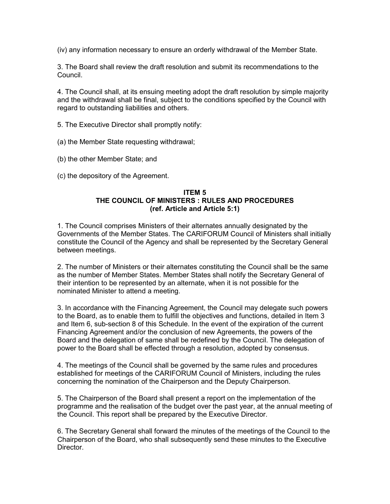(iv) any information necessary to ensure an orderly withdrawal of the Member State.

3. The Board shall review the draft resolution and submit its recommendations to the Council.

4. The Council shall, at its ensuing meeting adopt the draft resolution by simple majority and the withdrawal shall be final, subject to the conditions specified by the Council with regard to outstanding liabilities and others.

- 5. The Executive Director shall promptly notify:
- (a) the Member State requesting withdrawal;
- (b) the other Member State; and
- (c) the depository of the Agreement.

## ITEM 5 THE COUNCIL OF MINISTERS : RULES AND PROCEDURES (ref. Article and Article 5:1)

1. The Council comprises Ministers of their alternates annually designated by the Governments of the Member States. The CARIFORUM Council of Ministers shall initially constitute the Council of the Agency and shall be represented by the Secretary General between meetings.

2. The number of Ministers or their alternates constituting the Council shall be the same as the number of Member States. Member States shall notify the Secretary General of their intention to be represented by an alternate, when it is not possible for the nominated Minister to attend a meeting.

3. In accordance with the Financing Agreement, the Council may delegate such powers to the Board, as to enable them to fulfill the objectives and functions, detailed in Item 3 and Item 6, sub-section 8 of this Schedule. In the event of the expiration of the current Financing Agreement and/or the conclusion of new Agreements, the powers of the Board and the delegation of same shall be redefined by the Council. The delegation of power to the Board shall be effected through a resolution, adopted by consensus.

4. The meetings of the Council shall be governed by the same rules and procedures established for meetings of the CARIFORUM Council of Ministers, including the rules concerning the nomination of the Chairperson and the Deputy Chairperson.

5. The Chairperson of the Board shall present a report on the implementation of the programme and the realisation of the budget over the past year, at the annual meeting of the Council. This report shall be prepared by the Executive Director.

6. The Secretary General shall forward the minutes of the meetings of the Council to the Chairperson of the Board, who shall subsequently send these minutes to the Executive Director.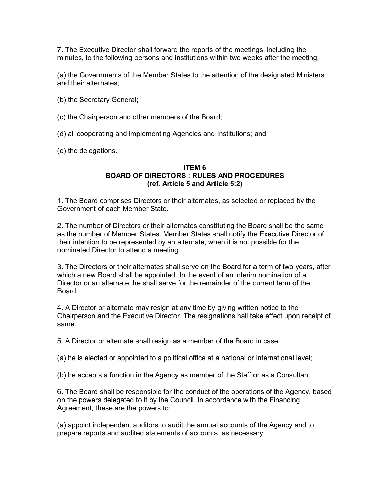7. The Executive Director shall forward the reports of the meetings, including the minutes, to the following persons and institutions within two weeks after the meeting:

(a) the Governments of the Member States to the attention of the designated Ministers and their alternates;

- (b) the Secretary General;
- (c) the Chairperson and other members of the Board;
- (d) all cooperating and implementing Agencies and Institutions; and

(e) the delegations.

#### ITEM 6 BOARD OF DIRECTORS : RULES AND PROCEDURES (ref. Article 5 and Article 5:2)

1. The Board comprises Directors or their alternates, as selected or replaced by the Government of each Member State.

2. The number of Directors or their alternates constituting the Board shall be the same as the number of Member States. Member States shall notify the Executive Director of their intention to be represented by an alternate, when it is not possible for the nominated Director to attend a meeting.

3. The Directors or their alternates shall serve on the Board for a term of two years, after which a new Board shall be appointed. In the event of an interim nomination of a Director or an alternate, he shall serve for the remainder of the current term of the Board.

4. A Director or alternate may resign at any time by giving written notice to the Chairperson and the Executive Director. The resignations hall take effect upon receipt of same.

5. A Director or alternate shall resign as a member of the Board in case:

(a) he is elected or appointed to a political office at a national or international level;

(b) he accepts a function in the Agency as member of the Staff or as a Consultant.

6. The Board shall be responsible for the conduct of the operations of the Agency, based on the powers delegated to it by the Council. In accordance with the Financing Agreement, these are the powers to:

(a) appoint independent auditors to audit the annual accounts of the Agency and to prepare reports and audited statements of accounts, as necessary;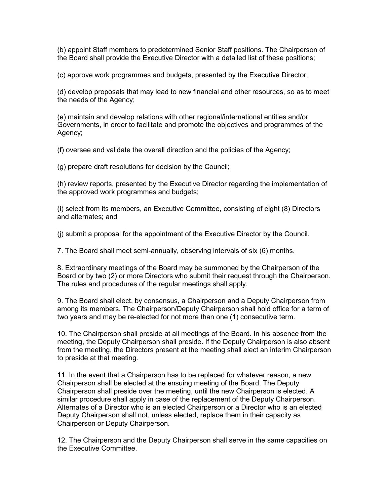(b) appoint Staff members to predetermined Senior Staff positions. The Chairperson of the Board shall provide the Executive Director with a detailed list of these positions;

(c) approve work programmes and budgets, presented by the Executive Director;

(d) develop proposals that may lead to new financial and other resources, so as to meet the needs of the Agency;

(e) maintain and develop relations with other regional/international entities and/or Governments, in order to facilitate and promote the objectives and programmes of the Agency;

(f) oversee and validate the overall direction and the policies of the Agency;

(g) prepare draft resolutions for decision by the Council;

(h) review reports, presented by the Executive Director regarding the implementation of the approved work programmes and budgets;

(i) select from its members, an Executive Committee, consisting of eight (8) Directors and alternates; and

(j) submit a proposal for the appointment of the Executive Director by the Council.

7. The Board shall meet semi-annually, observing intervals of six (6) months.

8. Extraordinary meetings of the Board may be summoned by the Chairperson of the Board or by two (2) or more Directors who submit their request through the Chairperson. The rules and procedures of the regular meetings shall apply.

9. The Board shall elect, by consensus, a Chairperson and a Deputy Chairperson from among its members. The Chairperson/Deputy Chairperson shall hold office for a term of two years and may be re-elected for not more than one (1) consecutive term.

10. The Chairperson shall preside at all meetings of the Board. In his absence from the meeting, the Deputy Chairperson shall preside. If the Deputy Chairperson is also absent from the meeting, the Directors present at the meeting shall elect an interim Chairperson to preside at that meeting.

11. In the event that a Chairperson has to be replaced for whatever reason, a new Chairperson shall be elected at the ensuing meeting of the Board. The Deputy Chairperson shall preside over the meeting, until the new Chairperson is elected. A similar procedure shall apply in case of the replacement of the Deputy Chairperson. Alternates of a Director who is an elected Chairperson or a Director who is an elected Deputy Chairperson shall not, unless elected, replace them in their capacity as Chairperson or Deputy Chairperson.

12. The Chairperson and the Deputy Chairperson shall serve in the same capacities on the Executive Committee.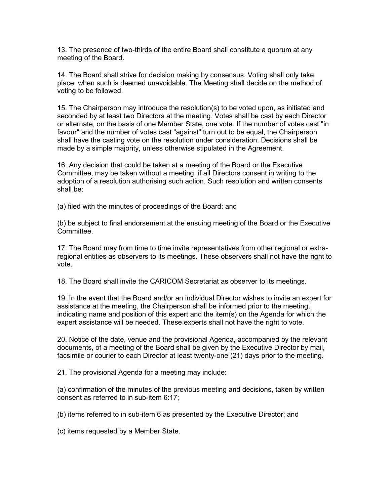13. The presence of two-thirds of the entire Board shall constitute a quorum at any meeting of the Board.

14. The Board shall strive for decision making by consensus. Voting shall only take place, when such is deemed unavoidable. The Meeting shall decide on the method of voting to be followed.

15. The Chairperson may introduce the resolution(s) to be voted upon, as initiated and seconded by at least two Directors at the meeting. Votes shall be cast by each Director or alternate, on the basis of one Member State, one vote. If the number of votes cast "in favour" and the number of votes cast "against" turn out to be equal, the Chairperson shall have the casting vote on the resolution under consideration. Decisions shall be made by a simple majority, unless otherwise stipulated in the Agreement.

16. Any decision that could be taken at a meeting of the Board or the Executive Committee, may be taken without a meeting, if all Directors consent in writing to the adoption of a resolution authorising such action. Such resolution and written consents shall be:

(a) filed with the minutes of proceedings of the Board; and

(b) be subject to final endorsement at the ensuing meeting of the Board or the Executive Committee.

17. The Board may from time to time invite representatives from other regional or extraregional entities as observers to its meetings. These observers shall not have the right to vote.

18. The Board shall invite the CARICOM Secretariat as observer to its meetings.

19. In the event that the Board and/or an individual Director wishes to invite an expert for assistance at the meeting, the Chairperson shall be informed prior to the meeting, indicating name and position of this expert and the item(s) on the Agenda for which the expert assistance will be needed. These experts shall not have the right to vote.

20. Notice of the date, venue and the provisional Agenda, accompanied by the relevant documents, of a meeting of the Board shall be given by the Executive Director by mail, facsimile or courier to each Director at least twenty-one (21) days prior to the meeting.

21. The provisional Agenda for a meeting may include:

(a) confirmation of the minutes of the previous meeting and decisions, taken by written consent as referred to in sub-item 6:17;

(b) items referred to in sub-item 6 as presented by the Executive Director; and

(c) items requested by a Member State.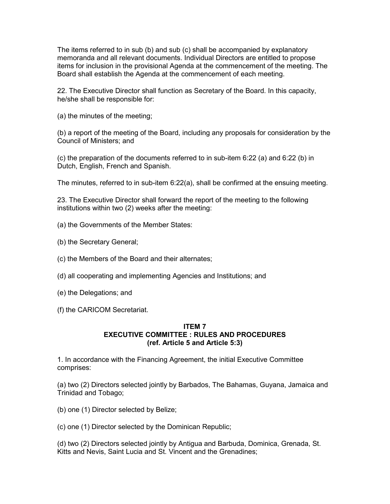The items referred to in sub (b) and sub (c) shall be accompanied by explanatory memoranda and all relevant documents. Individual Directors are entitled to propose items for inclusion in the provisional Agenda at the commencement of the meeting. The Board shall establish the Agenda at the commencement of each meeting.

22. The Executive Director shall function as Secretary of the Board. In this capacity, he/she shall be responsible for:

(a) the minutes of the meeting;

(b) a report of the meeting of the Board, including any proposals for consideration by the Council of Ministers; and

(c) the preparation of the documents referred to in sub-item 6:22 (a) and 6:22 (b) in Dutch, English, French and Spanish.

The minutes, referred to in sub-item 6:22(a), shall be confirmed at the ensuing meeting.

23. The Executive Director shall forward the report of the meeting to the following institutions within two (2) weeks after the meeting:

(a) the Governments of the Member States:

- (b) the Secretary General;
- (c) the Members of the Board and their alternates;
- (d) all cooperating and implementing Agencies and Institutions; and
- (e) the Delegations; and
- (f) the CARICOM Secretariat.

#### ITEM 7 EXECUTIVE COMMITTEE : RULES AND PROCEDURES (ref. Article 5 and Article 5:3)

1. In accordance with the Financing Agreement, the initial Executive Committee comprises:

(a) two (2) Directors selected jointly by Barbados, The Bahamas, Guyana, Jamaica and Trinidad and Tobago;

(b) one (1) Director selected by Belize;

(c) one (1) Director selected by the Dominican Republic;

(d) two (2) Directors selected jointly by Antigua and Barbuda, Dominica, Grenada, St. Kitts and Nevis, Saint Lucia and St. Vincent and the Grenadines;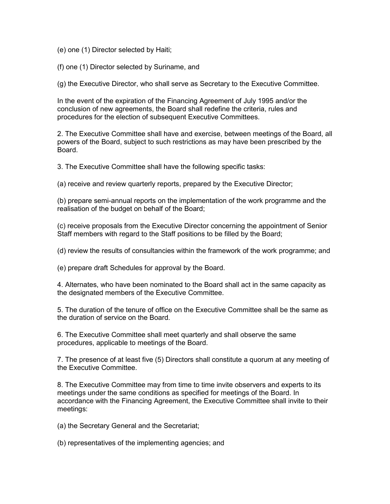(e) one (1) Director selected by Haiti;

(f) one (1) Director selected by Suriname, and

(g) the Executive Director, who shall serve as Secretary to the Executive Committee.

In the event of the expiration of the Financing Agreement of July 1995 and/or the conclusion of new agreements, the Board shall redefine the criteria, rules and procedures for the election of subsequent Executive Committees.

2. The Executive Committee shall have and exercise, between meetings of the Board, all powers of the Board, subject to such restrictions as may have been prescribed by the Board.

3. The Executive Committee shall have the following specific tasks:

(a) receive and review quarterly reports, prepared by the Executive Director;

(b) prepare semi-annual reports on the implementation of the work programme and the realisation of the budget on behalf of the Board;

(c) receive proposals from the Executive Director concerning the appointment of Senior Staff members with regard to the Staff positions to be filled by the Board;

(d) review the results of consultancies within the framework of the work programme; and

(e) prepare draft Schedules for approval by the Board.

4. Alternates, who have been nominated to the Board shall act in the same capacity as the designated members of the Executive Committee.

5. The duration of the tenure of office on the Executive Committee shall be the same as the duration of service on the Board.

6. The Executive Committee shall meet quarterly and shall observe the same procedures, applicable to meetings of the Board.

7. The presence of at least five (5) Directors shall constitute a quorum at any meeting of the Executive Committee.

8. The Executive Committee may from time to time invite observers and experts to its meetings under the same conditions as specified for meetings of the Board. In accordance with the Financing Agreement, the Executive Committee shall invite to their meetings:

(a) the Secretary General and the Secretariat;

(b) representatives of the implementing agencies; and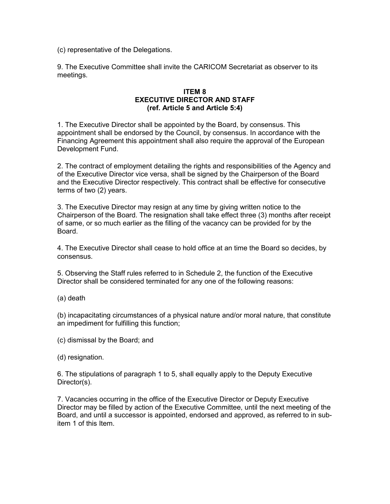(c) representative of the Delegations.

9. The Executive Committee shall invite the CARICOM Secretariat as observer to its meetings.

## ITEM 8 EXECUTIVE DIRECTOR AND STAFF (ref. Article 5 and Article 5:4)

1. The Executive Director shall be appointed by the Board, by consensus. This appointment shall be endorsed by the Council, by consensus. In accordance with the Financing Agreement this appointment shall also require the approval of the European Development Fund.

2. The contract of employment detailing the rights and responsibilities of the Agency and of the Executive Director vice versa, shall be signed by the Chairperson of the Board and the Executive Director respectively. This contract shall be effective for consecutive terms of two (2) years.

3. The Executive Director may resign at any time by giving written notice to the Chairperson of the Board. The resignation shall take effect three (3) months after receipt of same, or so much earlier as the filling of the vacancy can be provided for by the Board.

4. The Executive Director shall cease to hold office at an time the Board so decides, by consensus.

5. Observing the Staff rules referred to in Schedule 2, the function of the Executive Director shall be considered terminated for any one of the following reasons:

(a) death

(b) incapacitating circumstances of a physical nature and/or moral nature, that constitute an impediment for fulfilling this function;

(c) dismissal by the Board; and

(d) resignation.

6. The stipulations of paragraph 1 to 5, shall equally apply to the Deputy Executive Director(s).

7. Vacancies occurring in the office of the Executive Director or Deputy Executive Director may be filled by action of the Executive Committee, until the next meeting of the Board, and until a successor is appointed, endorsed and approved, as referred to in subitem 1 of this Item.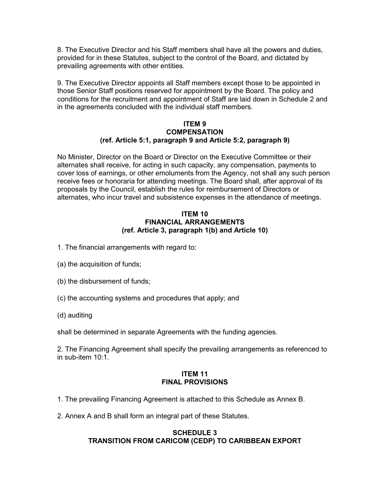8. The Executive Director and his Staff members shall have all the powers and duties, provided for in these Statutes, subject to the control of the Board, and dictated by prevailing agreements with other entities.

9. The Executive Director appoints all Staff members except those to be appointed in those Senior Staff positions reserved for appointment by the Board. The policy and conditions for the recruitment and appointment of Staff are laid down in Schedule 2 and in the agreements concluded with the individual staff members.

#### ITEM 9 **COMPENSATION** (ref. Article 5:1, paragraph 9 and Article 5:2, paragraph 9)

No Minister, Director on the Board or Director on the Executive Committee or their alternates shall receive, for acting in such capacity, any compensation, payments to cover loss of earnings, or other emoluments from the Agency, not shall any such person receive fees or honoraria for attending meetings. The Board shall, after approval of its proposals by the Council, establish the rules for reimbursement of Directors or alternates, who incur travel and subsistence expenses in the attendance of meetings.

### ITEM 10 FINANCIAL ARRANGEMENTS (ref. Article 3, paragraph 1(b) and Article 10)

- 1. The financial arrangements with regard to:
- (a) the acquisition of funds;
- (b) the disbursement of funds;
- (c) the accounting systems and procedures that apply; and
- (d) auditing

shall be determined in separate Agreements with the funding agencies.

2. The Financing Agreement shall specify the prevailing arrangements as referenced to in sub-item 10:1.

#### ITEM 11 FINAL PROVISIONS

- 1. The prevailing Financing Agreement is attached to this Schedule as Annex B.
- 2. Annex A and B shall form an integral part of these Statutes.

# SCHEDULE 3 TRANSITION FROM CARICOM (CEDP) TO CARIBBEAN EXPORT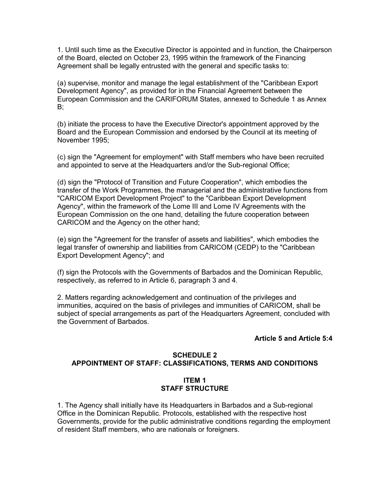1. Until such time as the Executive Director is appointed and in function, the Chairperson of the Board, elected on October 23, 1995 within the framework of the Financing Agreement shall be legally entrusted with the general and specific tasks to:

(a) supervise, monitor and manage the legal establishment of the "Caribbean Export Development Agency", as provided for in the Financial Agreement between the European Commission and the CARIFORUM States, annexed to Schedule 1 as Annex B;

(b) initiate the process to have the Executive Director's appointment approved by the Board and the European Commission and endorsed by the Council at its meeting of November 1995;

(c) sign the "Agreement for employment" with Staff members who have been recruited and appointed to serve at the Headquarters and/or the Sub-regional Office;

(d) sign the "Protocol of Transition and Future Cooperation", which embodies the transfer of the Work Programmes, the managerial and the administrative functions from "CARICOM Export Development Project" to the "Caribbean Export Development Agency", within the framework of the Lome III and Lome IV Agreements with the European Commission on the one hand, detailing the future cooperation between CARICOM and the Agency on the other hand;

(e) sign the "Agreement for the transfer of assets and liabilities", which embodies the legal transfer of ownership and liabilities from CARICOM (CEDP) to the "Caribbean Export Development Agency"; and

(f) sign the Protocols with the Governments of Barbados and the Dominican Republic, respectively, as referred to in Article 6, paragraph 3 and 4.

2. Matters regarding acknowledgement and continuation of the privileges and immunities, acquired on the basis of privileges and immunities of CARICOM, shall be subject of special arrangements as part of the Headquarters Agreement, concluded with the Government of Barbados.

#### Article 5 and Article 5:4

## SCHEDULE 2 APPOINTMENT OF STAFF: CLASSIFICATIONS, TERMS AND CONDITIONS

## ITEM 1 STAFF STRUCTURE

1. The Agency shall initially have its Headquarters in Barbados and a Sub-regional Office in the Dominican Republic. Protocols, established with the respective host Governments, provide for the public administrative conditions regarding the employment of resident Staff members, who are nationals or foreigners.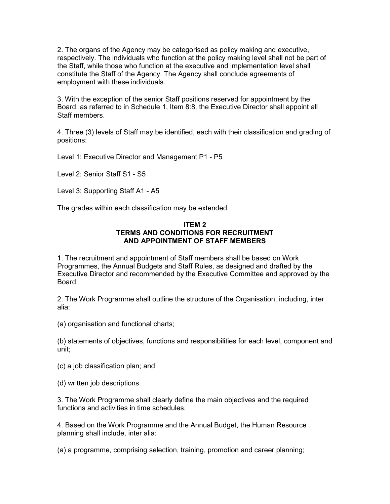2. The organs of the Agency may be categorised as policy making and executive, respectively. The individuals who function at the policy making level shall not be part of the Staff, while those who function at the executive and implementation level shall constitute the Staff of the Agency. The Agency shall conclude agreements of employment with these individuals.

3. With the exception of the senior Staff positions reserved for appointment by the Board, as referred to in Schedule 1, Item 8:8, the Executive Director shall appoint all Staff members.

4. Three (3) levels of Staff may be identified, each with their classification and grading of positions:

Level 1: Executive Director and Management P1 - P5

Level 2: Senior Staff S1 - S5

Level 3: Supporting Staff A1 - A5

The grades within each classification may be extended.

### ITEM 2 TERMS AND CONDITIONS FOR RECRUITMENT AND APPOINTMENT OF STAFF MEMBERS

1. The recruitment and appointment of Staff members shall be based on Work Programmes, the Annual Budgets and Staff Rules, as designed and drafted by the Executive Director and recommended by the Executive Committee and approved by the Board.

2. The Work Programme shall outline the structure of the Organisation, including, inter alia:

(a) organisation and functional charts;

(b) statements of objectives, functions and responsibilities for each level, component and unit;

(c) a job classification plan; and

(d) written job descriptions.

3. The Work Programme shall clearly define the main objectives and the required functions and activities in time schedules.

4. Based on the Work Programme and the Annual Budget, the Human Resource planning shall include, inter alia:

(a) a programme, comprising selection, training, promotion and career planning;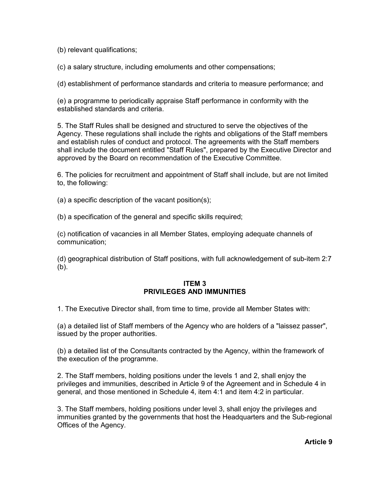(b) relevant qualifications;

(c) a salary structure, including emoluments and other compensations;

(d) establishment of performance standards and criteria to measure performance; and

(e) a programme to periodically appraise Staff performance in conformity with the established standards and criteria.

5. The Staff Rules shall be designed and structured to serve the objectives of the Agency. These regulations shall include the rights and obligations of the Staff members and establish rules of conduct and protocol. The agreements with the Staff members shall include the document entitled "Staff Rules", prepared by the Executive Director and approved by the Board on recommendation of the Executive Committee.

6. The policies for recruitment and appointment of Staff shall include, but are not limited to, the following:

(a) a specific description of the vacant position(s);

(b) a specification of the general and specific skills required;

(c) notification of vacancies in all Member States, employing adequate channels of communication;

(d) geographical distribution of Staff positions, with full acknowledgement of sub-item 2:7 (b).

### ITEM 3 PRIVILEGES AND IMMUNITIES

1. The Executive Director shall, from time to time, provide all Member States with:

(a) a detailed list of Staff members of the Agency who are holders of a "laissez passer", issued by the proper authorities.

(b) a detailed list of the Consultants contracted by the Agency, within the framework of the execution of the programme.

2. The Staff members, holding positions under the levels 1 and 2, shall enjoy the privileges and immunities, described in Article 9 of the Agreement and in Schedule 4 in general, and those mentioned in Schedule 4, item 4:1 and item 4:2 in particular.

3. The Staff members, holding positions under level 3, shall enjoy the privileges and immunities granted by the governments that host the Headquarters and the Sub-regional Offices of the Agency.

Article 9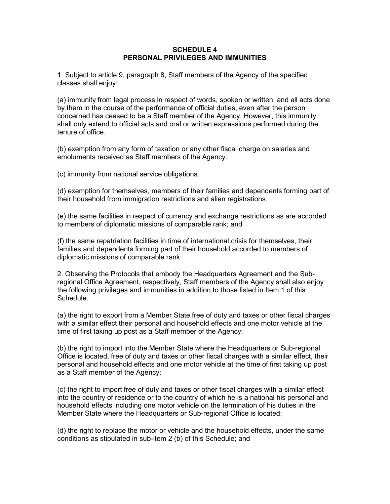#### SCHEDULE 4 PERSONAL PRIVILEGES AND IMMUNITIES

1. Subject to article 9, paragraph 8, Staff members of the Agency of the specified classes shall enjoy:

(a) immunity from legal process in respect of words, spoken or written, and all acts done by them in the course of the performance of official duties, even after the person concerned has ceased to be a Staff member of the Agency. However, this immunity shall only extend to official acts and oral or written expressions performed during the tenure of office.

(b) exemption from any form of taxation or any other fiscal charge on salaries and emoluments received as Staff members of the Agency.

(c) immunity from national service obligations.

(d) exemption for themselves, members of their families and dependents forming part of their household from immigration restrictions and alien registrations.

(e) the same facilities in respect of currency and exchange restrictions as are accorded to members of diplomatic missions of comparable rank; and

(f) the same repatriation facilities in time of international crisis for themselves, their families and dependents forming part of their household accorded to members of diplomatic missions of comparable rank.

2. Observing the Protocols that embody the Headquarters Agreement and the Subregional Office Agreement, respectively, Staff members of the Agency shall also enjoy the following privileges and immunities in addition to those listed in Item 1 of this Schedule.

(a) the right to export from a Member State free of duty and taxes or other fiscal charges with a similar effect their personal and household effects and one motor vehicle at the time of first taking up post as a Staff member of the Agency;

(b) the right to import into the Member State where the Headquarters or Sub-regional Office is located, free of duty and taxes or other fiscal charges with a similar effect, their personal and household effects and one motor vehicle at the time of first taking up post as a Staff member of the Agency;

(c) the right to import free of duty and taxes or other fiscal charges with a similar effect into the country of residence or to the country of which he is a national his personal and household effects including one motor vehicle on the termination of his duties in the Member State where the Headquarters or Sub-regional Office is located;

(d) the right to replace the motor or vehicle and the household effects, under the same conditions as stipulated in sub-item 2 (b) of this Schedule; and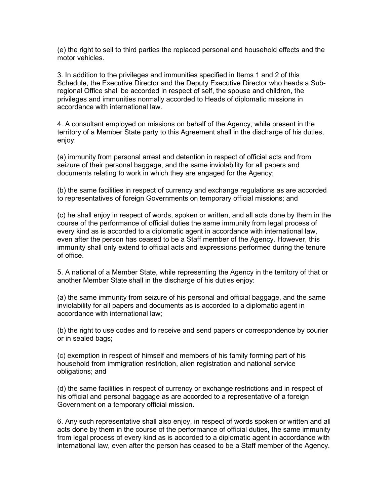(e) the right to sell to third parties the replaced personal and household effects and the motor vehicles.

3. In addition to the privileges and immunities specified in Items 1 and 2 of this Schedule, the Executive Director and the Deputy Executive Director who heads a Subregional Office shall be accorded in respect of self, the spouse and children, the privileges and immunities normally accorded to Heads of diplomatic missions in accordance with international law.

4. A consultant employed on missions on behalf of the Agency, while present in the territory of a Member State party to this Agreement shall in the discharge of his duties, enjoy:

(a) immunity from personal arrest and detention in respect of official acts and from seizure of their personal baggage, and the same inviolability for all papers and documents relating to work in which they are engaged for the Agency;

(b) the same facilities in respect of currency and exchange regulations as are accorded to representatives of foreign Governments on temporary official missions; and

(c) he shall enjoy in respect of words, spoken or written, and all acts done by them in the course of the performance of official duties the same immunity from legal process of every kind as is accorded to a diplomatic agent in accordance with international law, even after the person has ceased to be a Staff member of the Agency. However, this immunity shall only extend to official acts and expressions performed during the tenure of office.

5. A national of a Member State, while representing the Agency in the territory of that or another Member State shall in the discharge of his duties enjoy:

(a) the same immunity from seizure of his personal and official baggage, and the same inviolability for all papers and documents as is accorded to a diplomatic agent in accordance with international law;

(b) the right to use codes and to receive and send papers or correspondence by courier or in sealed bags;

(c) exemption in respect of himself and members of his family forming part of his household from immigration restriction, alien registration and national service obligations; and

(d) the same facilities in respect of currency or exchange restrictions and in respect of his official and personal baggage as are accorded to a representative of a foreign Government on a temporary official mission.

6. Any such representative shall also enjoy, in respect of words spoken or written and all acts done by them in the course of the performance of official duties, the same immunity from legal process of every kind as is accorded to a diplomatic agent in accordance with international law, even after the person has ceased to be a Staff member of the Agency.